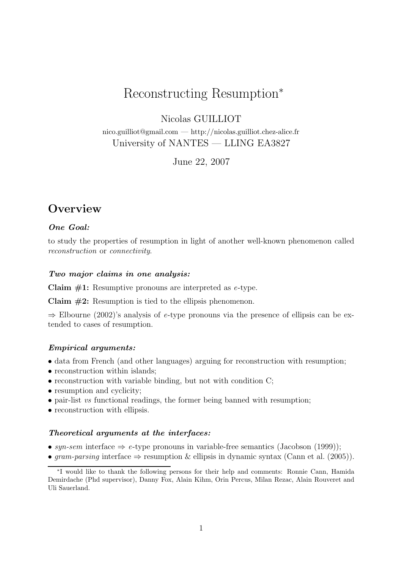# Reconstructing Resumption<sup>∗</sup>

Nicolas GUILLIOT

nico.guilliot@gmail.com — http://nicolas.guilliot.chez-alice.fr University of NANTES — LLING EA3827

June 22, 2007

# **Overview**

#### One Goal:

to study the properties of resumption in light of another well-known phenomenon called reconstruction or connectivity.

#### Two major claims in one analysis:

Claim  $#1$ : Resumptive pronouns are interpreted as e-type.

Claim  $#2$ : Resumption is tied to the ellipsis phenomenon.

 $\Rightarrow$  Elbourne (2002)'s analysis of e-type pronouns via the presence of ellipsis can be extended to cases of resumption.

#### Empirical arguments:

- data from French (and other languages) arguing for reconstruction with resumption;
- reconstruction within islands;
- $\bullet$  reconstruction with variable binding, but not with condition C;
- resumption and cyclicity;
- pair-list vs functional readings, the former being banned with resumption;
- reconstruction with ellipsis.

#### Theoretical arguments at the interfaces:

- syn-sem interface  $\Rightarrow$  e-type pronouns in variable-free semantics (Jacobson (1999));
- gram-parsing interface  $\Rightarrow$  resumption & ellipsis in dynamic syntax (Cann et al. (2005)).

<sup>∗</sup> I would like to thank the following persons for their help and comments: Ronnie Cann, Hamida Demirdache (Phd supervisor), Danny Fox, Alain Kihm, Orin Percus, Milan Rezac, Alain Rouveret and Uli Sauerland.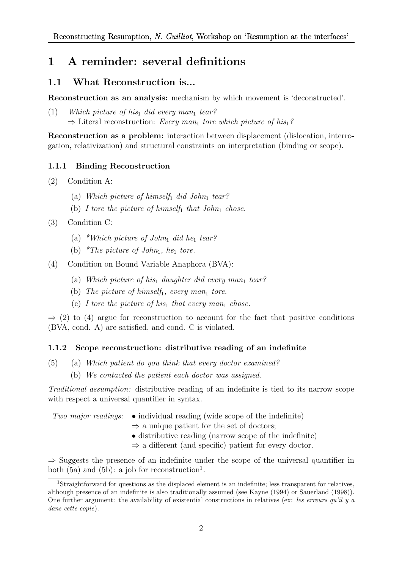# 1 A reminder: several definitions

# 1.1 What Reconstruction is...

Reconstruction as an analysis: mechanism by which movement is 'deconstructed'.

(1) Which picture of his<sub>1</sub> did every man<sub>1</sub> tear?  $\Rightarrow$  Literal reconstruction: Every man<sub>1</sub> tore which picture of his<sub>1</sub>?

Reconstruction as a problem: interaction between displacement (dislocation, interrogation, relativization) and structural constraints on interpretation (binding or scope).

## 1.1.1 Binding Reconstruction

- (2) Condition A:
	- (a) Which picture of himself<sub>1</sub> did John<sub>1</sub> tear?
	- (b) I tore the picture of himself<sub>1</sub> that John<sub>1</sub> chose.
- (3) Condition C:
	- (a) \*Which picture of John<sub>1</sub> did he<sub>1</sub> tear?
	- (b) \*The picture of John<sub>1</sub>, he<sub>1</sub> tore.
- (4) Condition on Bound Variable Anaphora (BVA):
	- (a) Which picture of his<sub>1</sub> daughter did every man<sub>1</sub> tear?
	- (b) The picture of himself<sub>1</sub>, every man<sub>1</sub> tore.
	- (c) I tore the picture of his<sub>1</sub> that every man<sub>1</sub> chose.

 $\Rightarrow$  (2) to (4) argue for reconstruction to account for the fact that positive conditions (BVA, cond. A) are satisfied, and cond. C is violated.

## 1.1.2 Scope reconstruction: distributive reading of an indefinite

- (5) (a) Which patient do you think that every doctor examined?
	- (b) We contacted the patient each doctor was assigned.

Traditional assumption: distributive reading of an indefinite is tied to its narrow scope with respect a universal quantifier in syntax.

- Two major readings:  $\bullet$  individual reading (wide scope of the indefinite)
	- $\Rightarrow$  a unique patient for the set of doctors;
	- distributive reading (narrow scope of the indefinite)
	- $\Rightarrow$  a different (and specific) patient for every doctor.

 $\Rightarrow$  Suggests the presence of an indefinite under the scope of the universal quantifier in both  $(5a)$  and  $(5b)$ : a job for reconstruction<sup>1</sup>.

<sup>1</sup>Straightforward for questions as the displaced element is an indefinite; less transparent for relatives, although presence of an indefinite is also traditionally assumed (see Kayne (1994) or Sauerland (1998)). One further argument: the availability of existential constructions in relatives (ex: les erreurs qu'il y a dans cette copie).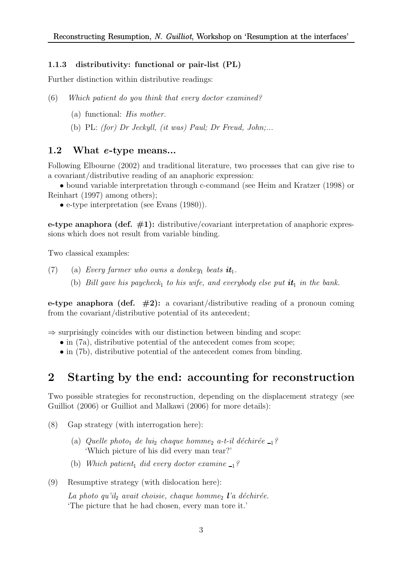### 1.1.3 distributivity: functional or pair-list (PL)

Further distinction within distributive readings:

(6) Which patient do you think that every doctor examined?

- (a) functional: His mother.
- (b) PL: (for) Dr Jeckyll, (it was) Paul; Dr Freud, John;...

### 1.2 What e-type means...

Following Elbourne (2002) and traditional literature, two processes that can give rise to a covariant/distributive reading of an anaphoric expression:

• bound variable interpretation through c-command (see Heim and Kratzer (1998) or Reinhart (1997) among others);

• e-type interpretation (see Evans (1980)).

e-type anaphora (def.  $\#1$ ): distributive/covariant interpretation of anaphoric expressions which does not result from variable binding.

Two classical examples:

- (7) (a) Every farmer who owns a donkey<sub>1</sub> beats  $it_1$ .
	- (b) Bill gave his paycheck<sub>1</sub> to his wife, and everybody else put  $it_1$  in the bank.

e-type anaphora (def.  $\#2$ ): a covariant/distributive reading of a pronoun coming from the covariant/distributive potential of its antecedent;

 $\Rightarrow$  surprisingly coincides with our distinction between binding and scope:

- in (7a), distributive potential of the antecedent comes from scope;
- in (7b), distributive potential of the antecedent comes from binding.

# 2 Starting by the end: accounting for reconstruction

Two possible strategies for reconstruction, depending on the displacement strategy (see Guilliot (2006) or Guilliot and Malkawi (2006) for more details):

- (8) Gap strategy (with interrogation here):
	- (a) Quelle photo<sub>1</sub> de lui<sub>2</sub> chaque homme<sub>2</sub> a-t-il déchirée  $_{1}$ ? 'Which picture of his did every man tear?'
	- (b) Which patient<sub>1</sub> did every doctor examine  $-1$ ?
- (9) Resumptive strategy (with dislocation here):

La photo qu'il<sub>2</sub> avait choisie, chaque homme<sub>2</sub> l'a déchirée. 'The picture that he had chosen, every man tore it.'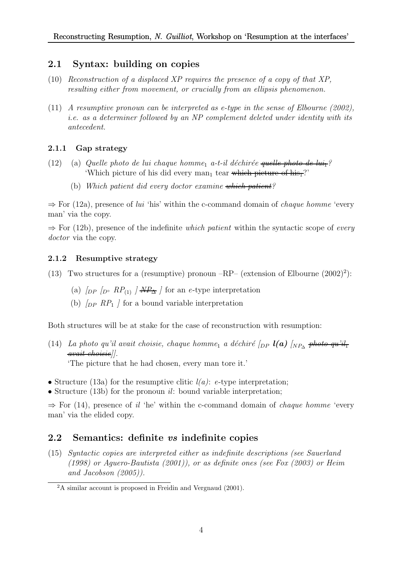# 2.1 Syntax: building on copies

- $(10)$  Reconstruction of a displaced XP requires the presence of a copy of that XP. resulting either from movement, or crucially from an ellipsis phenomenon.
- (11) A resumptive pronoun can be interpreted as e-type in the sense of Elbourne (2002), i.e. as a determiner followed by an NP complement deleted under identity with its antecedent.

## 2.1.1 Gap strategy

- (12) (a) Quelle photo de lui chaque homme<sub>1</sub> a-t-il déchirée quelle phot 'Which picture of his did every man<sub>1</sub> tear which picture of his<sub>1</sub>?'
	- (b) Which patient did every doctor examine which patient?

 $\Rightarrow$  For (12a), presence of lui 'his' within the c-command domain of *chaque homme* 'every man' via the copy.

 $\Rightarrow$  For (12b), presence of the indefinite which patient within the syntactic scope of every doctor via the copy.

## 2.1.2 Resumptive strategy

- (13) Two structures for a (resumptive) pronoun  $-RP-$  (extension of Elbourne  $(2002)^2$ ):
	- (a)  $\int_{DP}$   $\int_{D^{\circ}}$   $RP_{(1)}$   $\int$   $\frac{MP_{\Delta}}{\Delta}$  for an e-type interpretation
	- (b)  $\sqrt{DP}$  RP<sub>1</sub>  $\prime$  for a bound variable interpretation

Both structures will be at stake for the case of reconstruction with resumption:

- (14) La photo qu'il avait choisie, chaque homme<sub>1</sub> a déchiré [<sub>DP</sub>  $l(a)$  [<sub>NP</sup>△</sub> <del>photo qu'il<sub>1</sub></del> avait choisie]]. 'The picture that he had chosen, every man tore it.'
- Structure (13a) for the resumptive clitic  $l(a)$ : e-type interpretation;
- Structure (13b) for the pronoun  $il$ : bound variable interpretation;

 $\Rightarrow$  For (14), presence of il 'he' within the c-command domain of *chaque homme* 'every man' via the elided copy.

# 2.2 Semantics: definite vs indefinite copies

(15) Syntactic copies are interpreted either as indefinite descriptions (see Sauerland (1998) or Aguero-Bautista (2001)), or as definite ones (see Fox (2003) or Heim and Jacobson (2005)).

<sup>2</sup>A similar account is proposed in Freidin and Vergnaud (2001).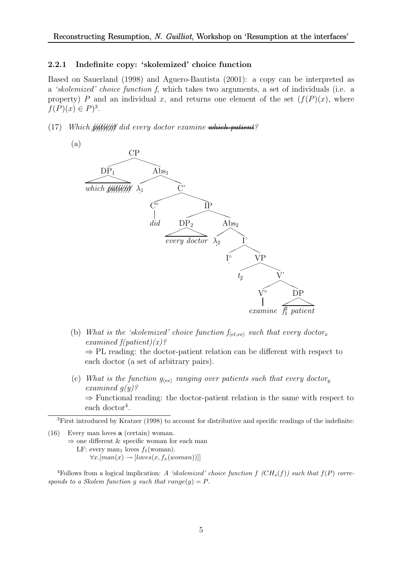#### 2.2.1 Indefinite copy: 'skolemized' choice function

Based on Sauerland (1998) and Aguero-Bautista (2001): a copy can be interpreted as a 'skolemized' choice function f, which takes two arguments, a set of individuals (i.e. a property) P and an individual x, and returns one element of the set  $(f(P)(x))$ , where  $f(P)(x) \in P)^3$ .

(17) Which  $\frac{f}{f}$ ///////////// did every doctor examine which patient?



- (b) What is the 'skolemized' choice function  $f_{\langle etc, ee \rangle}$  such that every doctor<sub>x</sub> examined  $f(patient)(x)$ ?  $\Rightarrow$  PL reading: the doctor-patient relation can be different with respect to each doctor (a set of arbitrary pairs).
- (c) What is the function  $g_{\langle ee\rangle}$  ranging over patients such that every doctory examined  $g(y)$ ?  $\Rightarrow$  Functional reading: the doctor-patient relation is the same with respect to each doctor<sup>4</sup>.

<sup>3</sup>First introduced by Kratzer (1998) to account for distributive and specific readings of the indefinite:

(16) Every man loves a (certain) woman.  $\Rightarrow$  one different & specific woman for each man LF: every man<sub>1</sub> loves  $f_1(\text{woman})$ .  $\forall x. [man(x) \rightarrow [loves(x, f_x(woman))]]$ 

<sup>4</sup>Follows from a logical implication: A 'skolemized' choice function  $f(CH_s(f))$  such that  $f(P)$  corresponds to a Skolem function g such that  $range(q) = P$ .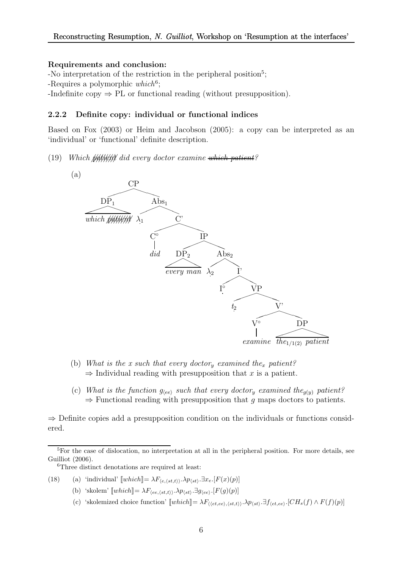#### Requirements and conclusion:

-No interpretation of the restriction in the peripheral position<sup>5</sup>; -Requires a polymorphic  $which^6$ ;

-Indefinite copy  $\Rightarrow$  PL or functional reading (without presupposition).

#### 2.2.2 Definite copy: individual or functional indices

Based on Fox (2003) or Heim and Jacobson (2005): a copy can be interpreted as an 'individual' or 'functional' definite description.

(19) Which  $\frac{1}{2}$ ///////////// did every doctor examine which patient?



- (b) What is the x such that every doctory examined the<sub>x</sub> patient?  $\Rightarrow$  Individual reading with presupposition that x is a patient.
- (c) What is the function  $g_{\langle ee\rangle}$  such that every doctor<sub>y</sub> examined the<sub>g(y)</sub> patient?  $\Rightarrow$  Functional reading with presupposition that g maps doctors to patients.

 $\Rightarrow$  Definite copies add a presupposition condition on the individuals or functions considered.

<sup>6</sup>Three distinct denotations are required at least:

(18) (a) 'individual' 
$$
[\![\n| which]\!] = \lambda F_{\langle e, \langle st, t \rangle \rangle} \cdot \lambda p_{\langle st \rangle} \cdot \exists x_e \cdot [F(x)(p)]
$$

(b) 'skolem' 
$$
[\![\n which]\!] = \lambda F_{\langle ee, \langle st, t \rangle \rangle} \cdot \lambda p_{\langle st \rangle} \cdot \exists g_{\langle ee \rangle} \cdot [F(g)(p)]
$$

(c) 'skolemized choice function'  $[\![\text{which}]\!] = \lambda F_{\langle \langle et,ee \rangle, \langle st,t \rangle \rangle} \cdot \lambda p_{\langle st \rangle} \cdot \exists f_{\langle et,ee \rangle} \cdot [CH_s(f) \wedge F(f)(p)]$ 

<sup>&</sup>lt;sup>5</sup>For the case of dislocation, no interpretation at all in the peripheral position. For more details, see Guilliot (2006).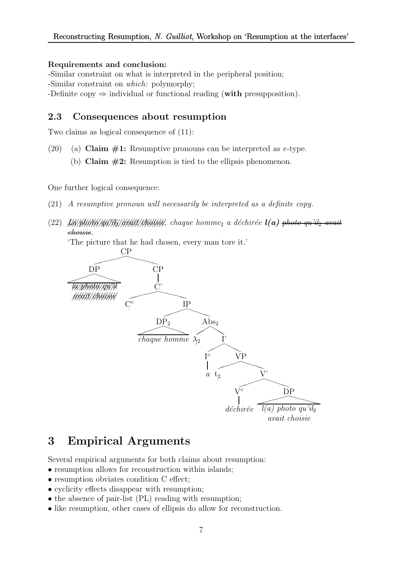### Requirements and conclusion:

-Similar constraint on what is interpreted in the peripheral position; -Similar constraint on which: polymorphy; -Definite copy  $\Rightarrow$  individual or functional reading (with presupposition).

## 2.3 Consequences about resumption

Two claims as logical consequence of (11):

- (20) (a) Claim  $\#1$ : Resumptive pronouns can be interpreted as *e*-type.
	- (b) Claim  $#2$ : Resumption is tied to the ellipsis phenomenon.

One further logical consequence:

- (21) A resumptive pronoun will necessarily be interpreted as a definite copy.
- (22) //// La//////// photo///////// qu'il2//////// avait/////////// choisie, chaque homme<sup>2</sup> a d´echir´ee l(a) photo qu'il<sup>2</sup> avait choisie.

'The picture that he had chosen, every man tore it.'



# 3 Empirical Arguments

Several empirical arguments for both claims about resumption:

- resumption allows for reconstruction within islands;
- resumption obviates condition C effect;
- cyclicity effects disappear with resumption;
- the absence of pair-list (PL) reading with resumption;
- like resumption, other cases of ellipsis do allow for reconstruction.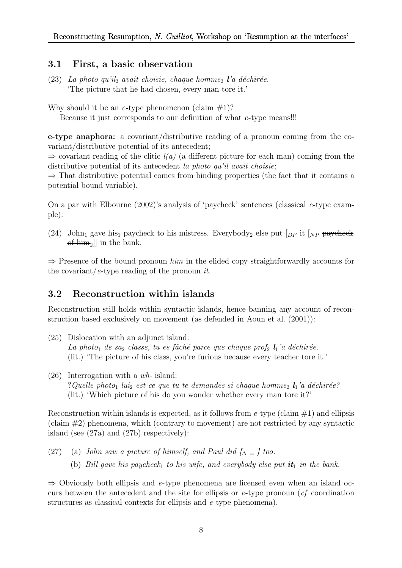## 3.1 First, a basic observation

(23) La photo qu'il<sub>2</sub> avait choisie, chaque homme<sub>2</sub> l'a déchirée. 'The picture that he had chosen, every man tore it.'

Why should it be an e-type phenomenon (claim  $\#1$ )? Because it just corresponds to our definition of what e-type means!!!

e-type anaphora: a covariant/distributive reading of a pronoun coming from the covariant/distributive potential of its antecedent;

 $\Rightarrow$  covariant reading of the clitic  $l(a)$  (a different picture for each man) coming from the distributive potential of its antecedent la photo qu'il avait choisie;

 $\Rightarrow$  That distributive potential comes from binding properties (the fact that it contains a potential bound variable).

On a par with Elbourne (2002)'s analysis of 'paycheck' sentences (classical e-type example):

(24) John<sub>1</sub> gave his<sub>1</sub> paycheck to his mistress. Everybody<sub>2</sub> else put  $\lceil_{DP}$  it  $\lceil_{NP}$  paycheck  $\left[\text{eff-}\right]$  in the bank.

 $\Rightarrow$  Presence of the bound pronoun him in the elided copy straightforwardly accounts for the covariant/e-type reading of the pronoun it.

# 3.2 Reconstruction within islands

Reconstruction still holds within syntactic islands, hence banning any account of reconstruction based exclusively on movement (as defended in Aoun et al. (2001)):

- (25) Dislocation with an adjunct island: La photo<sub>1</sub> de sa<sub>2</sub> classe, tu es fâché parce que chaque prof<sub>2</sub>  $\mathbf{l}_1$ 'a déchirée. (lit.) 'The picture of his class, you're furious because every teacher tore it.'
- (26) Interrogation with a wh- island: ? Quelle photo<sub>1</sub> lui<sub>2</sub> est-ce que tu te demandes si chaque homme<sub>2</sub>  $l_1$ 'a déchirée? (lit.) 'Which picture of his do you wonder whether every man tore it?'

Reconstruction within islands is expected, as it follows from  $e$ -type (claim  $\#1$ ) and ellipsis  $(\text{claim } #2)$  phenomena, which (contrary to movement) are not restricted by any syntactic island (see (27a) and (27b) respectively):

(27) (a) John saw a picture of himself, and Paul did  $\lbrack \Delta \; - \; \rbrack$  too. (b) Bill gave his paycheck<sub>1</sub> to his wife, and everybody else put  $it_1$  in the bank.

 $\Rightarrow$  Obviously both ellipsis and e-type phenomena are licensed even when an island occurs between the antecedent and the site for ellipsis or  $e$ -type pronoun (*cf* coordination structures as classical contexts for ellipsis and e-type phenomena).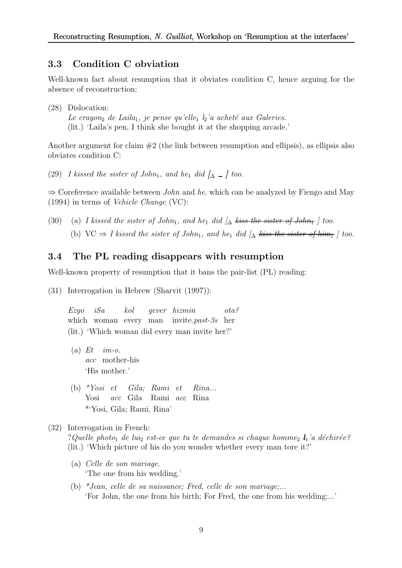## 3.3 Condition C obviation

Well-known fact about resumption that it obviates condition C, hence arguing for the absence of reconstruction:

(28) Dislocation: Le crayon<sub>2</sub> de Laila<sub>1</sub>, je pense qu'elle<sub>1</sub>  $l_2$ 'a acheté aux Galeries. (lit.) 'Laila's pen, I think she bought it at the shopping arcade.'

Another argument for claim  $#2$  (the link between resumption and ellipsis), as ellipsis also obviates condition C:

(29) I kissed the sister of John<sub>1</sub>, and he<sub>1</sub> did  $\int_{\Delta}$  \_  $\int$  too.

 $\Rightarrow$  Coreference available between *John* and he, which can be analyzed by Fiengo and May (1994) in terms of Vehicle Change (VC):

(30) (a) I kissed the sister of John<sub>1</sub>, and he<sub>1</sub> did  $\Delta$  kiss the sister of John<sub>1</sub> | too. (b) VC  $\Rightarrow$  I kissed the sister of John<sub>1</sub>, and he<sub>1</sub> did  $\int_{\Delta}$  kiss the sister of him<sub>1</sub> | too.

## 3.4 The PL reading disappears with resumption

Well-known property of resumption that it bans the pair-list (PL) reading:

(31) Interrogation in Hebrew (Sharvit (1997)):

Ezyo which woman every man invite.past-3s her iSa kol gever hizmin ota? (lit.) 'Which woman did every man invite her?'

- $(a) E t$ acc mother-his im-o. 'His mother.'
- (b)  $*Yosi$  et Yosi acc Gila Rami acc Rina Gila; Rami et Rina... \*'Yosi, Gila; Rami, Rina'

(32) Interrogation in French:

?Quelle photo<sub>1</sub> de lui<sub>2</sub> est-ce que tu te demandes si chaque homme<sub>2</sub>  $\mathbf{l}_1$ 'a déchirée? (lit.) 'Which picture of his do you wonder whether every man tore it?'

- (a) Celle de son mariage. 'The one from his wedding.'
- (b)  $*Jean, celle de sa naissance; Fred, celle de son mariage; ...$ 'For John, the one from his birth; For Fred, the one from his wedding;...'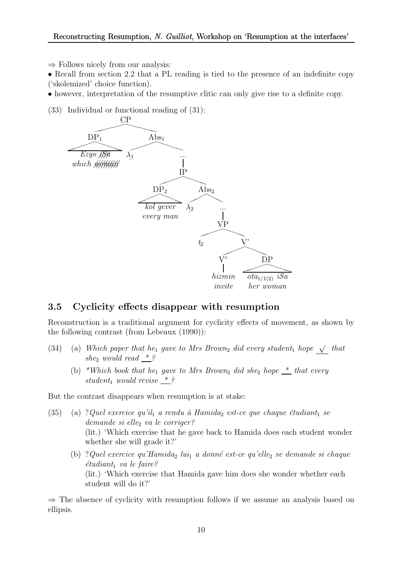$\Rightarrow$  Follows nicely from our analysis:

• Recall from section 2.2 that a PL reading is tied to the presence of an indefinite copy ('skolemized' choice function).

• however, interpretation of the resumptive clitic can only give rise to a definite copy.

(33) Individual or functional reading of (31):



## 3.5 Cyclicity effects disappear with resumption

Reconstruction is a traditional argument for cyclicity effects of movement, as shown by the following contrast (from Lebeaux (1990)):

- (34) (a) Which paper that he<sub>1</sub> gave to Mrs Brown<sub>2</sub> did every student<sub>1</sub> hope  $\sqrt{\ }$  that she<sub>2</sub> would read  $*$ ?
	- (b) \*Which book that he<sub>1</sub> gave to Mrs Brown<sub>2</sub> did she<sub>2</sub> hope  $\stackrel{*}{\leq}$  that every student, would revise  $*$ ?

But the contrast disappears when resumption is at stake:

- (35) (a) ?Quel exercice qu'il a rendu à Hamida<sub>2</sub> est-ce que chaque étudiant<sub>1</sub> se  $demande$  si elle<sub>2</sub> va le corriger? (lit.) 'Which exercise that he gave back to Hamida does each student wonder whether she will grade it?'
	- (b) ? Quel exercice qu'Hamidaz lui<sub>1</sub> a donné est-ce qu'ellez se demande si chaque  $\'etudiant_1$  va le faire? (lit.) 'Which exercise that Hamida gave him does she wonder whether each student will do it?'

 $\Rightarrow$  The absence of cyclicity with resumption follows if we assume an analysis based on ellipsis.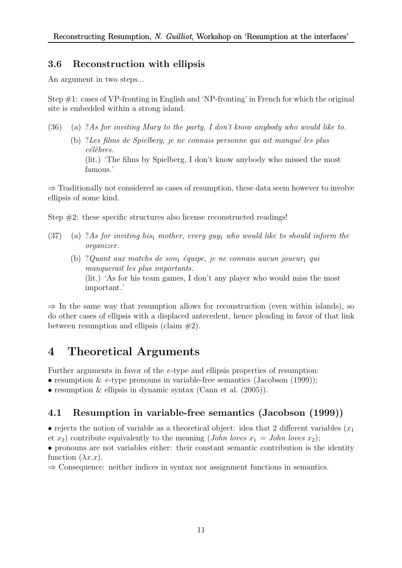# 3.6 Reconstruction with ellipsis

An argument in two steps...

Step #1: cases of VP-fronting in English and 'NP-fronting' in French for which the original site is embedded within a strong island.

(36) (a) ?As for inviting Mary to the party, I don't know anybody who would like to. (b) ? Les films de Spielberg, je ne connais personne qui ait manqué les plus célèbres. (lit.) 'The films by Spielberg, I don't know anybody who missed the most famous.'

⇒ Traditionally not considered as cases of resumption, these data seem however to involve ellipsis of some kind.

Step #2: these specific structures also license reconstructed readings!

- (37) (a) ?As for inviting his<sub>1</sub> mother, every guy<sub>1</sub> who would like to should inform the organizer.
	- (b) ? Quant aux matchs de son<sub>1</sub> équipe, je ne connais aucun joueur<sub>1</sub> qui manquerait les plus importants. (lit.) 'As for his team games, I don't any player who would miss the most important.'

 $\Rightarrow$  In the same way that resumption allows for reconstruction (even within islands), so do other cases of ellipsis with a displaced antecedent, hence pleading in favor of that link between resumption and ellipsis (claim  $#2$ ).

# 4 Theoretical Arguments

Further arguments in favor of the e-type and ellipsis properties of resumption:

• resumption & e-type pronouns in variable-free semantics (Jacobson  $(1999)$ );

• resumption & ellipsis in dynamic syntax (Cann et al.  $(2005)$ ).

# 4.1 Resumption in variable-free semantics (Jacobson (1999))

• rejects the notion of variable as a theoretical object: idea that 2 different variables  $(x_1)$ et  $x_2$ ) contribute equivalently to the meaning (*John loves*  $x_1 = John \, loves \, x_2$ );

• pronouns are not variables either: their constant semantic contribution is the identity function  $(\lambda x.x)$ .

⇒ Consequence: neither indices in syntax nor assignment functions in semantics.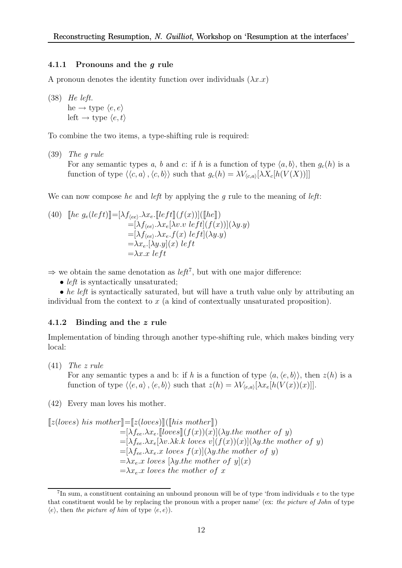#### 4.1.1 Pronouns and the g rule

A pronoun denotes the identity function over individuals  $(\lambda x.x)$ 

(38) He left. he  $\rightarrow$  type  $\langle e, e \rangle$ left  $\rightarrow$  type  $\langle e, t \rangle$ 

To combine the two items, a type-shifting rule is required:

(39) The g rule For any semantic types a, b and c: if h is a function of type  $\langle a, b \rangle$ , then  $g_c(h)$  is a function of type  $\langle \langle c, a \rangle, \langle c, b \rangle \rangle$  such that  $g_c(h) = \lambda V_{\langle c, a \rangle}[\lambda X_c[h(V(X))]]$ 

We can now compose he and left by applying the q rule to the meaning of left:

(40) 
$$
\begin{aligned} \llbracket he \ g_e(left)] \equiv [\lambda f_{\langle ee \rangle}.\lambda x_e. \llbracket left \rrbracket (f(x))] (\llbracket he \rrbracket) \\ = [\lambda f_{\langle ee \rangle}.\lambda x_e [\lambda v. v \ left] (f(x)) ] (\lambda y. y) \\ = [\lambda f_{\langle ee \rangle}.\lambda x_e. f(x) \ left] (\lambda y. y) \\ = \lambda x_e. [\lambda y. y] (x) \ left \\ = \lambda x. x \ left \end{aligned}
$$

 $\Rightarrow$  we obtain the same denotation as *left*<sup>7</sup>, but with one major difference:

• *left* is syntactically unsaturated;

• he left is syntactically saturated, but will have a truth value only by attributing an individual from the context to  $x$  (a kind of contextually unsaturated proposition).

#### 4.1.2 Binding and the z rule

Implementation of binding through another type-shifting rule, which makes binding very local:

(41) The z rule

For any semantic types a and b: if h is a function of type  $\langle a, \langle e, b \rangle \rangle$ , then  $z(h)$  is a function of type  $\langle \langle e, a \rangle, \langle e, b \rangle \rangle$  such that  $z(h) = \lambda V_{\langle e, a \rangle}[\lambda x_e[h(V(x))(x)]].$ 

(42) Every man loves his mother.

 $[z(loves) his mother]=[z(loves)][(This mother])$  $= [\lambda f_{ee}.\lambda x_e$ . [[loves]](f(x))(x)]( $\lambda y$  the mother of y)  $=[\lambda f_{ee}.\lambda x_e[\lambda v.\lambda k. k \text{ }loves \text{ } v](f(x))(x)](\lambda y.$ the mother of y)  $=[\lambda f_{ee}.\lambda x_e.x \text{ }loves \text{ } f(x)](\lambda y.$ the mother of y)  $=\lambda x_e \cdot x$  loves  $[\lambda y$  the mother of  $y](x)$  $=\lambda x_e \cdot x$  loves the mother of x

 $7\text{In sum, a constituent containing an unbound pronoun will be of type 'from individuals } e$  to the type that constituent would be by replacing the pronoun with a proper name' (ex: the picture of John of type  $\langle e \rangle$ , then the picture of him of type  $\langle e, e \rangle$ ).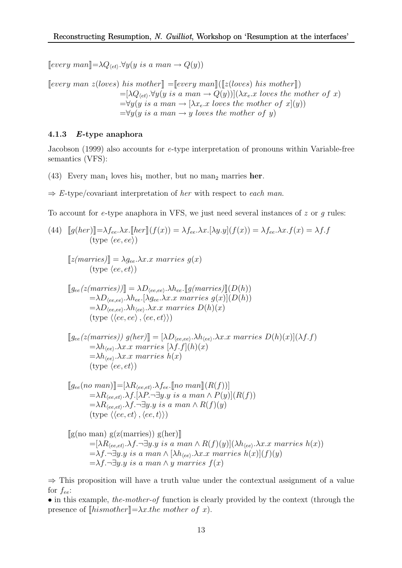[every man]= $\lambda Q_{\langle et \rangle}.\forall y(y \text{ is a man} \rightarrow Q(y))$ 

 $[every man z(loves) his mother] = [every man] ([z(loves) his mother])$  $=[\lambda Q_{\langle et \rangle} \ \forall y(y \ is \ a \ man \rightarrow Q(y))] (\lambda x_e.x \ loves \ the \ mother \ of \ x)$  $=\forall y(y \text{ is a man} \rightarrow [\lambda x_e.x \text{ loves the mother of } x](y))$  $=\forall y(y \text{ is a man} \rightarrow y \text{ loves the mother of } y)$ 

### 4.1.3 E-type anaphora

Jacobson (1999) also accounts for e-type interpretation of pronouns within Variable-free semantics (VFS):

(43) Every man<sub>1</sub> loves his<sub>1</sub> mother, but no man<sub>2</sub> marries her.

 $\Rightarrow$  E-type/covariant interpretation of her with respect to each man.

To account for e-type anaphora in VFS, we just need several instances of  $z$  or  $q$  rules:

(44) 
$$
[g(her)] = \lambda f_{ee}.\lambda x. [her](f(x)) = \lambda f_{ee}.\lambda x. [\lambda y. y](f(x)) = \lambda f_{ee}.\lambda x. f(x) = \lambda f. f
$$
  
\n(type  $\langle ee, ee \rangle$ )  
\n
$$
[z(marries)] = \lambda g_{ee}.\lambda x. x \, marries g(x)
$$
  
\n
$$
[g_{ee}(z(marries))] = \lambda D_{\langle ee, ee \rangle}.\lambda h_{ee} [g(marries)](D(h))
$$
  
\n
$$
= \lambda D_{\langle ee, ee \rangle}.\lambda h_{ee} . [\lambda g_{ee}.\lambda x. x \, marries g(x)](D(h))
$$
  
\n
$$
= \lambda D_{\langle ee, ee \rangle}.\lambda h_{\langle ee \rangle}.\lambda x. x \, marries D(h)(x)
$$
  
\n(type  $\langle \langle ee, ee \rangle, \langle ee, et \rangle \rangle)$ )  
\n
$$
[g_{ee}(z(marries)) g(her)] = [\lambda D_{\langle ee, ee \rangle}.\lambda h_{\langle ee \rangle}.\lambda x. x \, marries D(h)(x)](\lambda f. f)
$$
  
\n
$$
= \lambda h_{\langle ee \rangle}.\lambda x. x \, marries [\lambda f. f](h)(x)
$$
  
\n
$$
= \lambda h_{\langle ee \rangle}.\lambda x. x \, marries h(x)
$$
  
\n(type  $\langle ee, et \rangle$ )  
\n
$$
[g_{ee}(no man)] = [\lambda R_{\langle ee, et \rangle}.\lambda f_{ee} . [no man] (R(f))]
$$
  
\n
$$
= \lambda R_{\langle ee, et \rangle}.\lambda f. \neg \exists y. y \, is \, a man \wedge P(y)](R(f))
$$
  
\n
$$
= \lambda R_{\langle ee, et \rangle}.\lambda f. \neg \exists y. y \, is \, a man \wedge R(f)(y)
$$
  
\n(type  $\langle \langle ee, et \rangle, \langle ee, t \rangle \rangle)$ )  
\n
$$
= [\lambda R_{\langle ee, et \rangle}.\lambda f. \neg \exists y. y \, is \, a man \wedge R(f)(y)](\lambda h_{\langle ee}.\lambda x. x \, marries h(x))
$$
  
\n
$$
= \lambda f. \neg \exists y. y \, is \, a man \wedge R(f
$$

 $=\lambda f.\neg \exists y.y \text{ is a man} \land y \text{ marries } f(x)$ 

 $\Rightarrow$  This proposition will have a truth value under the contextual assignment of a value for  $f_{ee}$ :

• in this example, the-mother-of function is clearly provided by the context (through the presence of  $\llbracket h \text{ is} \text{mother} \rrbracket = \lambda x.$ the mother of x).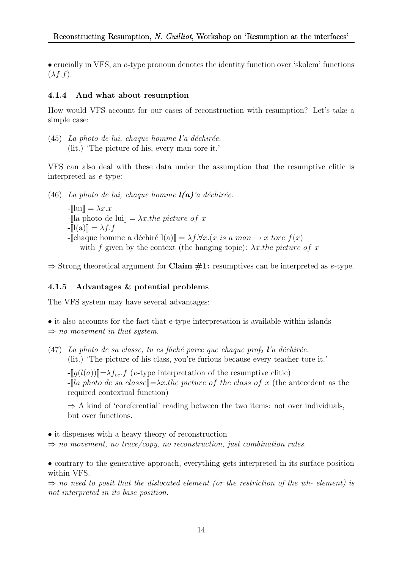• crucially in VFS, an e-type pronoun denotes the identity function over 'skolem' functions  $(\lambda f.f).$ 

### 4.1.4 And what about resumption

How would VFS account for our cases of reconstruction with resumption? Let's take a simple case:

 $(45)$  La photo de lui, chaque homme l'a déchirée. (lit.) 'The picture of his, every man tore it.'

VFS can also deal with these data under the assumption that the resumptive clitic is interpreted as e-type:

(46) La photo de lui, chaque homme  $l(a)$ 'a déchirée.

 $-\Vert \mathrm{lui} \Vert = \lambda x.x$ - $\lbrack$  -  $\lbrack$  a photo de lui $\rbrack = \lambda x.$ the picture of x  $-\mathbb{I}(a)\mathbb{I} = \lambda f.f$ -[chaque homme a déchiré l(a)] =  $\lambda f.\forall x.(x \text{ is a man} \rightarrow x \text{ tore } f(x))$ with f given by the context (the hanging topic):  $\lambda x$  the picture of x

 $\Rightarrow$  Strong theoretical argument for **Claim #1:** resumptives can be interpreted as *e*-type.

### 4.1.5 Advantages & potential problems

The VFS system may have several advantages:

• it also accounts for the fact that e-type interpretation is available within islands  $\Rightarrow$  no movement in that system.

(47) La photo de sa classe, tu es fâché parce que chaque prof<sub>2</sub> l'a déchirée. (lit.) 'The picture of his class, you're furious because every teacher tore it.'

 $-\llbracket q(l(a))\rrbracket = \lambda f_{ee}f$  (e-type interpretation of the resumptive clitic) - $\llbracket$ la photo de sa classe $\llbracket =\lambda x.$ the picture of the class of x (the antecedent as the required contextual function)

 $\Rightarrow$  A kind of 'coreferential' reading between the two items: not over individuals, but over functions.

• it dispenses with a heavy theory of reconstruction

 $\Rightarrow$  no movement, no trace/copy, no reconstruction, just combination rules.

• contrary to the generative approach, everything gets interpreted in its surface position within VFS.

 $\Rightarrow$  no need to posit that the dislocated element (or the restriction of the wh- element) is not interpreted in its base position.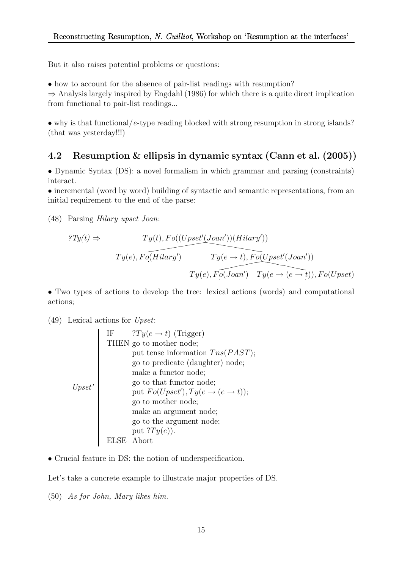But it also raises potential problems or questions:

• how to account for the absence of pair-list readings with resumption?

 $\Rightarrow$  Analysis largely inspired by Engdahl (1986) for which there is a quite direct implication from functional to pair-list readings...

• why is that functional/e-type reading blocked with strong resumption in strong islands? (that was yesterday!!!)

# 4.2 Resumption & ellipsis in dynamic syntax (Cann et al. (2005))

• Dynamic Syntax (DS): a novel formalism in which grammar and parsing (constraints) interact.

• incremental (word by word) building of syntactic and semantic representations, from an initial requirement to the end of the parse:

(48) Parsing Hilary upset Joan:

$$
Ty(t) \Rightarrow \qquad Ty(t), Fo((Upset'(Joan'))(Hilary'))
$$

$$
Ty(e), Fo(\overbrace{Hilary'}) \qquad Ty(e \rightarrow t), Fo(Upset'(Joan'))
$$

$$
Ty(e), Fo(\overbrace{Ioan'}) \qquad Ty(e \rightarrow (e \rightarrow t)), Fo(Upset)
$$

• Two types of actions to develop the tree: lexical actions (words) and computational actions;

#### (49) Lexical actions for Upset:

• Crucial feature in DS: the notion of underspecification.

Let's take a concrete example to illustrate major properties of DS.

(50) As for John, Mary likes him.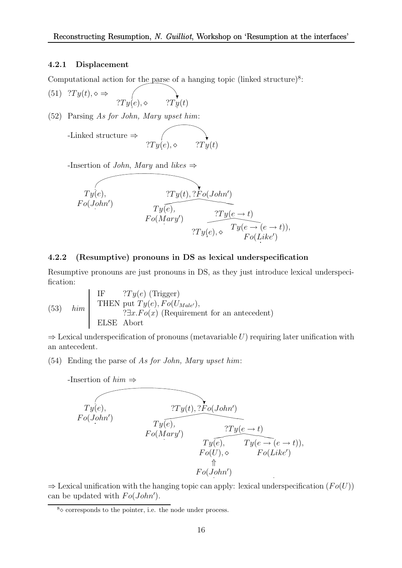#### 4.2.1 Displacement

Computational action for the parse of a hanging topic (linked structure)<sup>8</sup>:

- (51)  $?Ty(t), \diamond \Rightarrow$  $?Ty(e), \diamond$   $?Ty(t)$
- (52) Parsing As for John, Mary upset him:

-Linked structure 
$$
\Rightarrow
$$
  $\gamma$   
 $2Ty(e), \diamond$   $2Ty(t)$ 

-Insertion of *John*, Mary and likes  $\Rightarrow$ 

$$
Ty(e), \nFo(John') \nTy(e), \nTy(e), \nTy(e), \nTy(e) \rightarrow Ty(e \rightarrow t) \nTy(e), \nTy(e) \rightarrow Ty(e \rightarrow (e \rightarrow t)), \nFo(Like')
$$

#### 4.2.2 (Resumptive) pronouns in DS as lexical underspecification

Resumptive pronouns are just pronouns in DS, as they just introduce lexical underspecification:

(53) 
$$
lim \begin{bmatrix} \text{IF} & ?Ty(e) \text{ (Trigger)} \\ \text{THEN put } Ty(e), Fo(U_{Male'}), \\ & ?\exists x. Fo(x) \text{ (Reguirement for an antecedent)} \\ \text{ELSE Abort} \end{bmatrix}
$$

 $\Rightarrow$  Lexical underspecification of pronouns (metavariable U) requiring later unification with an antecedent.

(54) Ending the parse of As for John, Mary upset him:



 $\Rightarrow$  Lexical unification with the hanging topic can apply: lexical underspecification  $(Fo(U))$ can be updated with  $Fo(John')$ .

 $8\phi$  corresponds to the pointer, i.e. the node under process.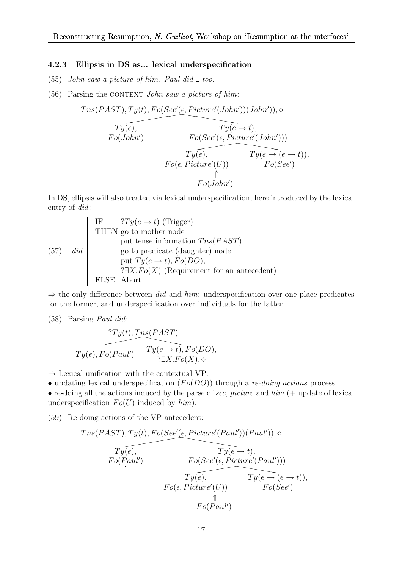#### 4.2.3 Ellipsis in DS as... lexical underspecification

- (55) John saw a picture of him. Paul did  $\_$  too.
- $(56)$  Parsing the CONTEXT John saw a picture of him:

$$
Tns(PAST), Ty(t), Fo(See'(\epsilon, Picture'(John'))(John')), \diamond
$$
\n
$$
Ty(\epsilon),
$$
\n
$$
Fo(John')
$$
\n
$$
Fo(See'(\epsilon, Picture'(John')))
$$
\n
$$
Ty(\epsilon),
$$
\n
$$
Ty(\epsilon),
$$
\n
$$
Ty(\epsilon) = (e \to t)),
$$
\n
$$
Fo(\epsilon, Picture'(U))
$$
\n
$$
Fo(See')
$$
\n
$$
\uparrow \uparrow \uparrow
$$
\n
$$
Fo(John')
$$

In DS, ellipsis will also treated via lexical underspecification, here introduced by the lexical entry of did:

(57) If 
$$
T \rightarrow \text{HEN}
$$
 go to mother node put tense information } \text{ThEN} \rightarrow \text{HEN} \rightarrow \text{FOL} (57) *did* go to predicate (daughter) node put  $Ty(e \rightarrow t)$ ,  $Fo(DO)$ , 3.37.  $Fo(X)$  (Requirement for an antecedent) ELSE. Abort

 $\Rightarrow$  the only difference between *did* and *him*: underspecification over one-place predicates for the former, and underspecification over individuals for the latter.

(58) Parsing Paul did:

$$
TV(t), Tns(PAST)
$$
  

$$
Ty(e), Fo(Paul') \qquad Ty(e \rightarrow t), Fo(DO),
$$
  

$$
TV(t), Fo(DO), \qquad \qquad \text{?} \exists X. Fo(X), \diamond
$$

 $\Rightarrow$  Lexical unification with the contextual VP:

• updating lexical underspecification  $(Fo(DO))$  through a *re-doing actions* process;

• re-doing all the actions induced by the parse of see, picture and  $him$  (+ update of lexical underspecification  $Fo(U)$  induced by  $him)$ .

(59) Re-doing actions of the VP antecedent:

$$
Tns(PAST), Ty(t), Fo(See'(\epsilon, Picture'(Paul'))(Paul')),\diamond
$$
  
\n
$$
Ty(\epsilon),
$$
  
\n
$$
Fo(Paul')
$$
  
\n
$$
Fo(Paul'))
$$
  
\n
$$
Ty(\epsilon),
$$
  
\n
$$
Ty(\epsilon),
$$
  
\n
$$
Ty(\epsilon, Picture'(Paul')))
$$
  
\n
$$
Ty(\epsilon),
$$
  
\n
$$
Ty(\epsilon \rightarrow (\epsilon, + t)),
$$
  
\n
$$
Fo(\epsilon, Picture'(U))
$$
  
\n
$$
Fo(Paul')
$$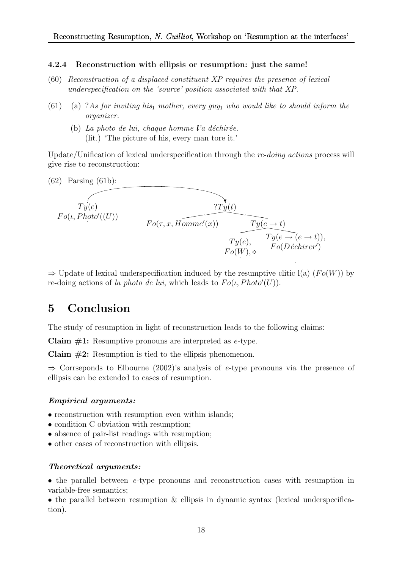#### 4.2.4 Reconstruction with ellipsis or resumption: just the same!

- (60) Reconstruction of a displaced constituent XP requires the presence of lexical underspecification on the 'source' position associated with that XP.
- (61) (a) ?As for inviting his<sub>1</sub> mother, every guy<sub>1</sub> who would like to should inform the organizer.
	- (b) La photo de lui, chaque homme  $\mathbf{l}'$ a déchirée. (lit.) 'The picture of his, every man tore it.'

Update/Unification of lexical underspecification through the re-doing actions process will give rise to reconstruction:



 $\Rightarrow$  Update of lexical underspecification induced by the resumptive clitic l(a) (Fo(W)) by re-doing actions of la photo de lui, which leads to  $Fo(\iota, Photo'(U)).$ 

# 5 Conclusion

The study of resumption in light of reconstruction leads to the following claims:

Claim  $#1$ : Resumptive pronouns are interpreted as e-type.

Claim  $#2$ : Resumption is tied to the ellipsis phenomenon.

 $\Rightarrow$  Corrseponds to Elbourne (2002)'s analysis of e-type pronouns via the presence of ellipsis can be extended to cases of resumption.

#### Empirical arguments:

- reconstruction with resumption even within islands;
- condition C obviation with resumption;
- absence of pair-list readings with resumption;
- other cases of reconstruction with ellipsis.

#### Theoretical arguments:

• the parallel between e-type pronouns and reconstruction cases with resumption in variable-free semantics;

• the parallel between resumption  $\&$  ellipsis in dynamic syntax (lexical underspecification).